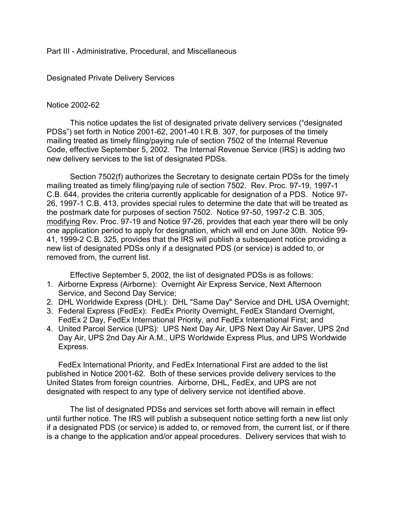# Part III - Administrative, Procedural, and Miscellaneous

# Designated Private Delivery Services

## Notice 2002-62

This notice updates the list of designated private delivery services ("designated PDSs") set forth in Notice 2001-62, 2001-40 I.R.B. 307, for purposes of the timely mailing treated as timely filing/paying rule of section 7502 of the Internal Revenue Code, effective September 5, 2002. The Internal Revenue Service (IRS) is adding two new delivery services to the list of designated PDSs.

Section 7502(f) authorizes the Secretary to designate certain PDSs for the timely mailing treated as timely filing/paying rule of section 7502. Rev. Proc. 97-19, 1997-1 C.B. 644, provides the criteria currently applicable for designation of a PDS. Notice 97- 26, 1997-1 C.B. 413, provides special rules to determine the date that will be treated as the postmark date for purposes of section 7502. Notice 97-50, 1997-2 C.B. 305, modifying Rev. Proc. 97-19 and Notice 97-26, provides that each year there will be only one application period to apply for designation, which will end on June 30th. Notice 99- 41, 1999-2 C.B. 325, provides that the IRS will publish a subsequent notice providing a new list of designated PDSs only if a designated PDS (or service) is added to, or removed from, the current list.

Effective September 5, 2002, the list of designated PDSs is as follows:

- 1. Airborne Express (Airborne): Overnight Air Express Service, Next Afternoon Service, and Second Day Service;
- 2. DHL Worldwide Express (DHL): DHL "Same Day" Service and DHL USA Overnight;
- 3. Federal Express (FedEx): FedEx Priority Overnight, FedEx Standard Overnight, FedEx 2 Day, FedEx International Priority, and FedEx International First; and
- 4. United Parcel Service (UPS): UPS Next Day Air, UPS Next Day Air Saver, UPS 2nd Day Air, UPS 2nd Day Air A.M., UPS Worldwide Express Plus, and UPS Worldwide Express.

FedEx International Priority, and FedEx International First are added to the list published in Notice 2001-62. Both of these services provide delivery services to the United States from foreign countries. Airborne, DHL, FedEx, and UPS are not designated with respect to any type of delivery service not identified above.

The list of designated PDSs and services set forth above will remain in effect until further notice. The IRS will publish a subsequent notice setting forth a new list only if a designated PDS (or service) is added to, or removed from, the current list, or if there is a change to the application and/or appeal procedures. Delivery services that wish to